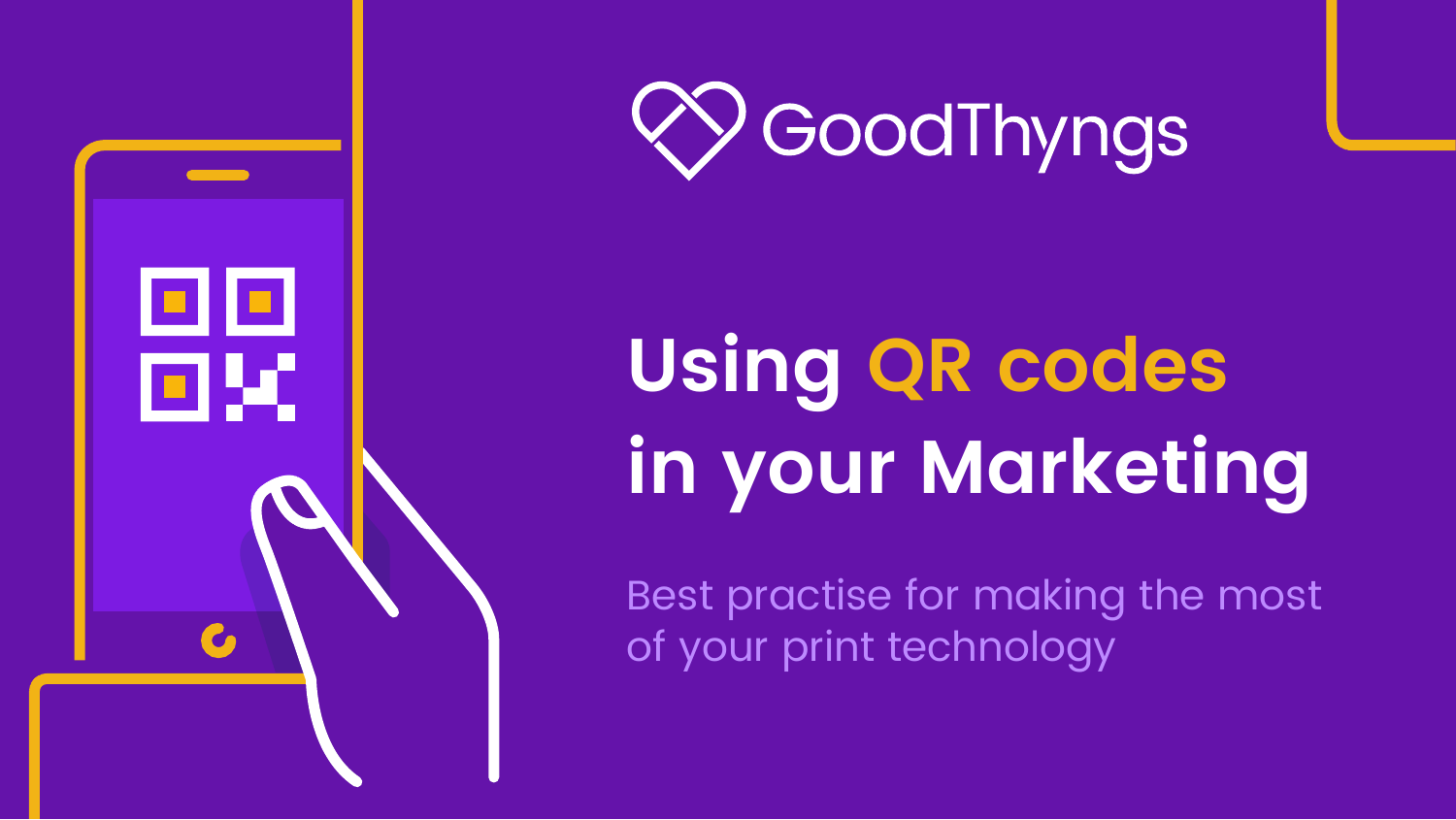



# **Using QR codes in your Marketing**

Best practise for making the most of your print technology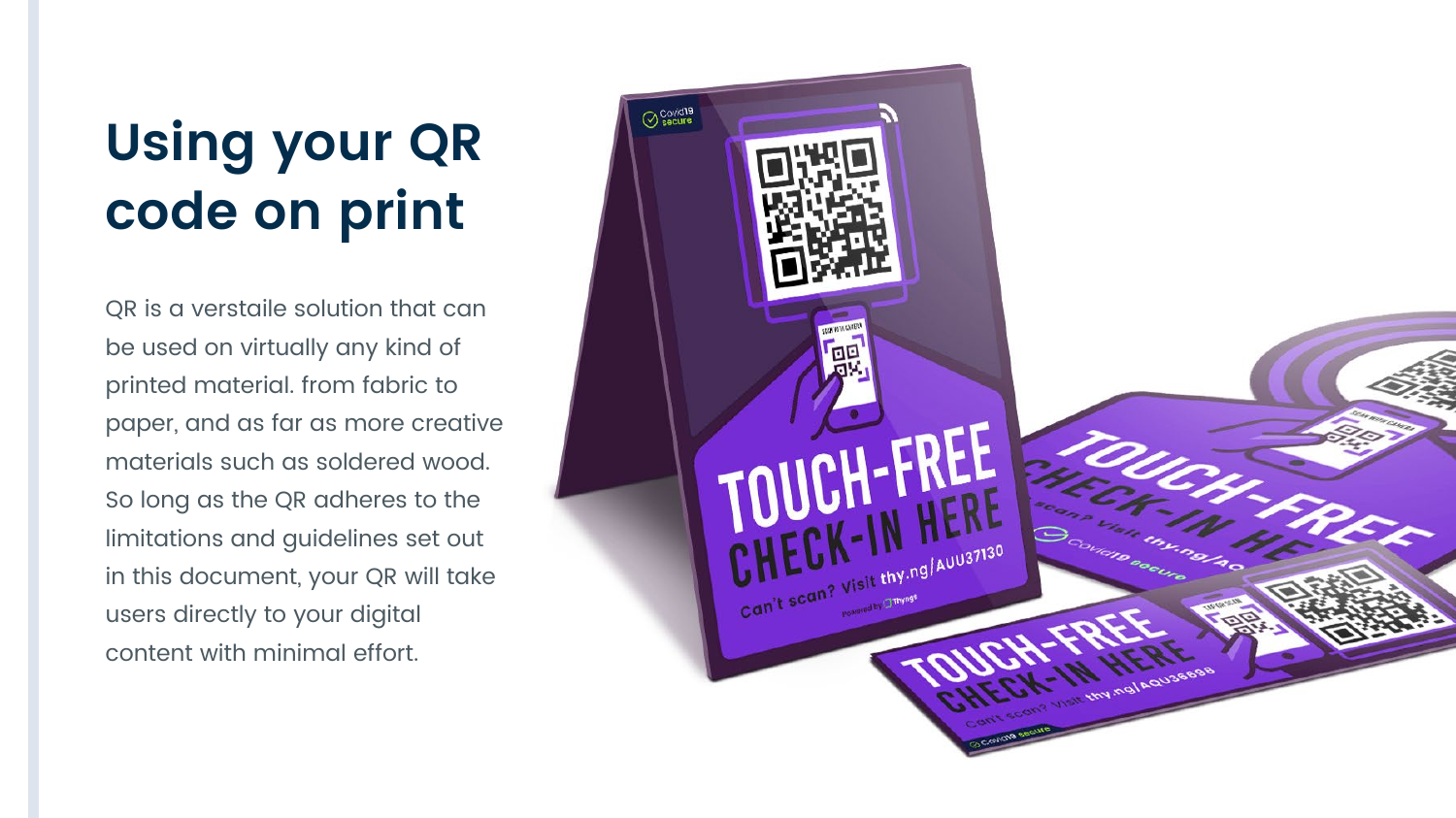### **Using your QR code on print**

QR is a verstaile solution that can be used on virtually any kind of printed material. from fabric to paper, and as far as more creative materials such as soldered wood. So long as the QR adheres to the limitations and guidelines set out in this document, your QR will take users directly to your digital content with minimal effort.

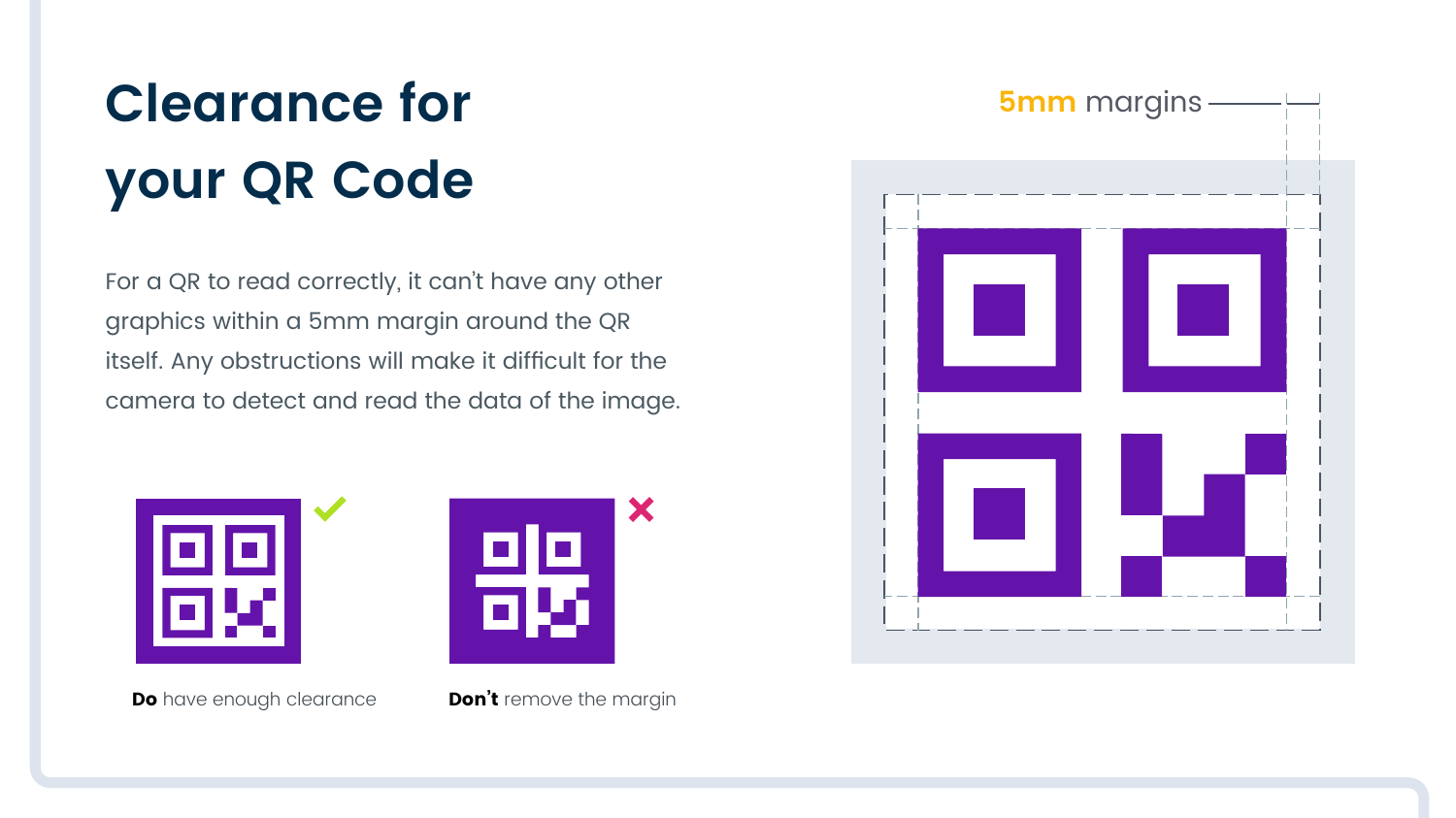# **Clearance for your QR Code**

For a QR to read correctly, it can't have any other graphics within a 5mm margin around the QR itself. Any obstructions will make it difficult for the camera to detect and read the data of the image.





**Do** have enough clearance **Don't** remove the margin

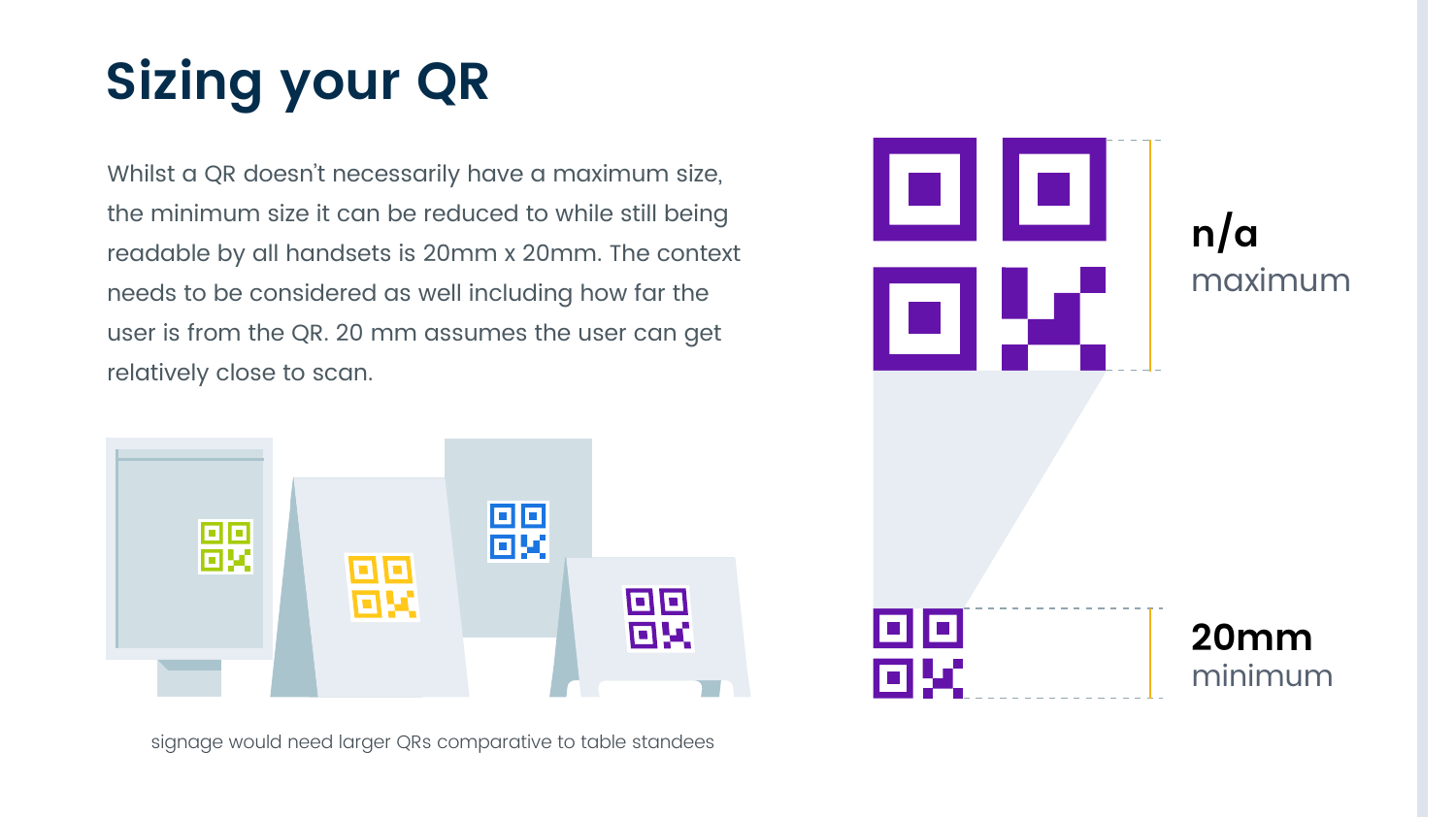# **Sizing your QR**

Whilst a QR doesn't necessarily have a maximum size, the minimum size it can be reduced to while still being readable by all handsets is 20mm x 20mm. The context needs to be considered as well including how far the user is from the QR. 20 mm assumes the user can get relatively close to scan.



signage would need larger QRs comparative to table standees

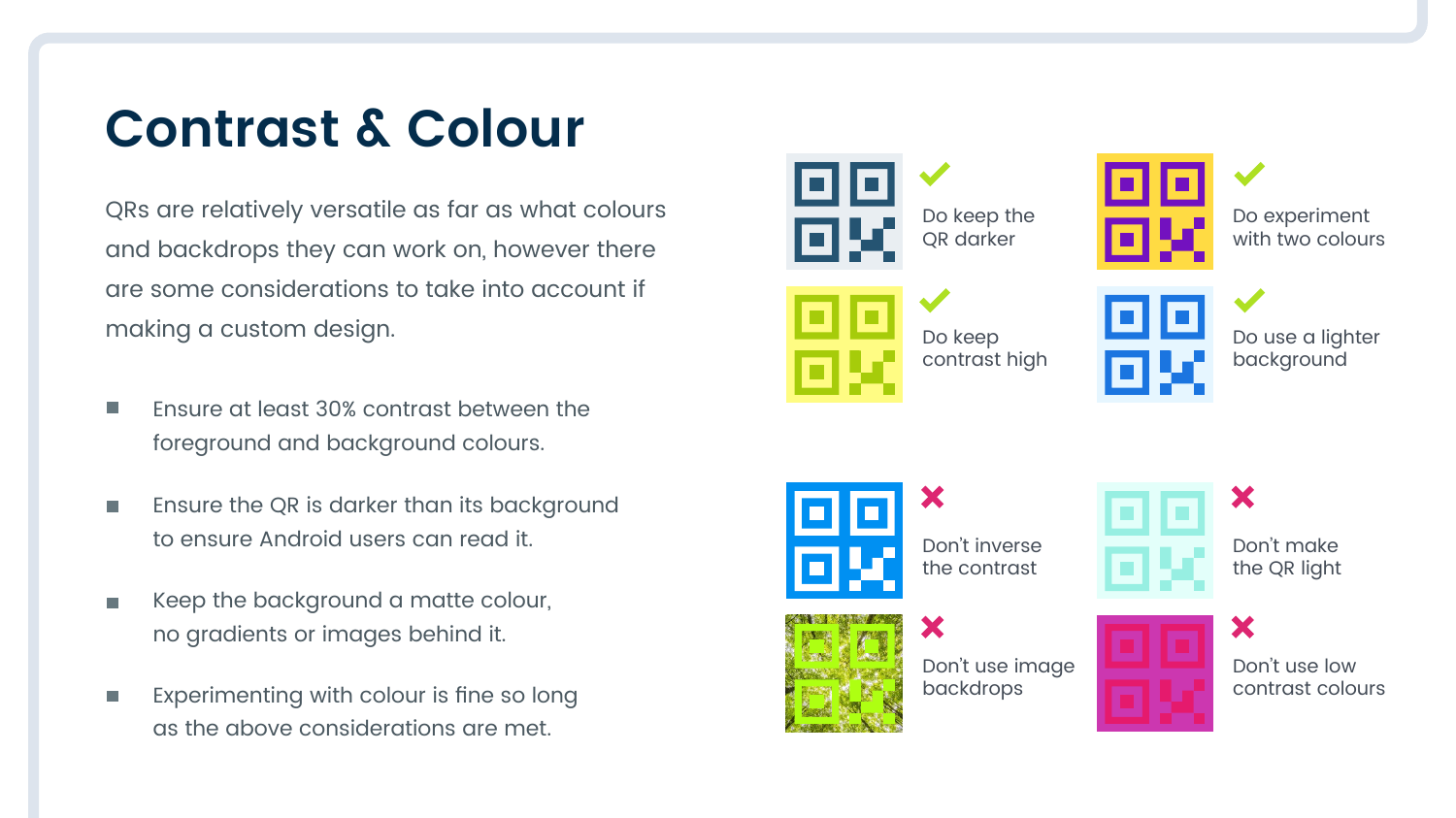#### **Contrast & Colour**

QRs are relatively versatile as far as what colours and backdrops they can work on, however there are some considerations to take into account if making a custom design.

- Ensure at least 30% contrast between the **I** foreground and background colours.
- Ensure the QR is darker than its background П to ensure Android users can read it.
- Keep the background a matte colour, П no gradients or images behind it.
- Experimenting with colour is fine so long П as the above considerations are met.



Do keep the QR darker

![](_page_4_Figure_8.jpeg)

Do experiment with two colours

![](_page_4_Figure_10.jpeg)

Do keep contrast high

| Do use a lighter |  |
|------------------|--|
| background       |  |

![](_page_4_Picture_14.jpeg)

Don't inverse the contrast

Х

![](_page_4_Picture_16.jpeg)

Don't make the QR light

X

X

![](_page_4_Picture_18.jpeg)

Don't use image backdrops

![](_page_4_Picture_20.jpeg)

Don't use low contrast colours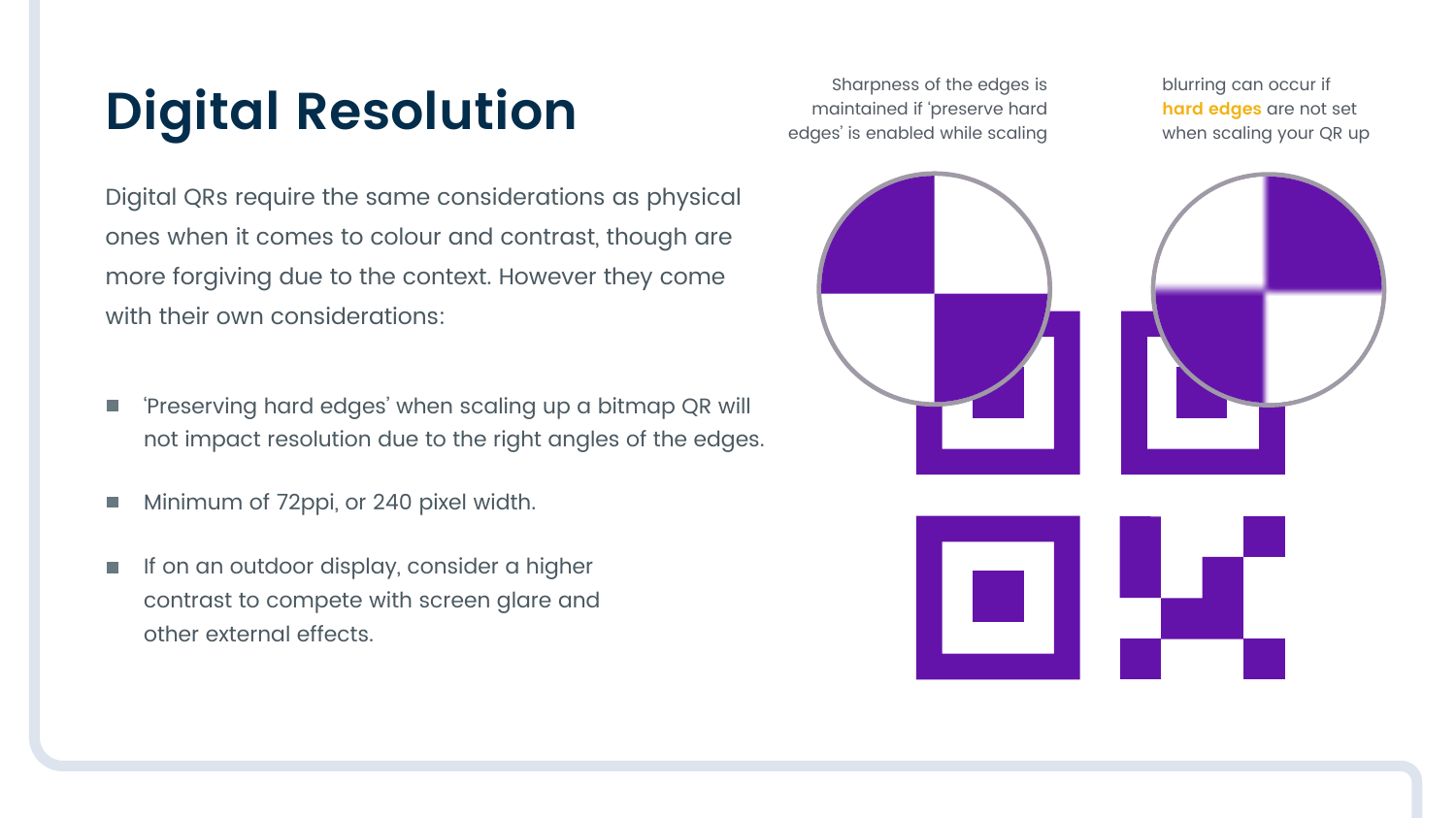## **Digital Resolution**

Digital QRs require the same considerations as physical ones when it comes to colour and contrast, though are more forgiving due to the context. However they come with their own considerations:

- 'Preserving hard edges' when scaling up a bitmap QR will П not impact resolution due to the right angles of the edges.
- Minimum of 72ppi, or 240 pixel width. D
- If on an outdoor display, consider a higher  $\overline{\phantom{a}}$ contrast to compete with screen glare and other external effects.

Sharpness of the edges is maintained if 'preserve hard edges' is enabled while scaling

blurring can occur if **hard edges** are not set when scaling your QR up

![](_page_5_Figure_7.jpeg)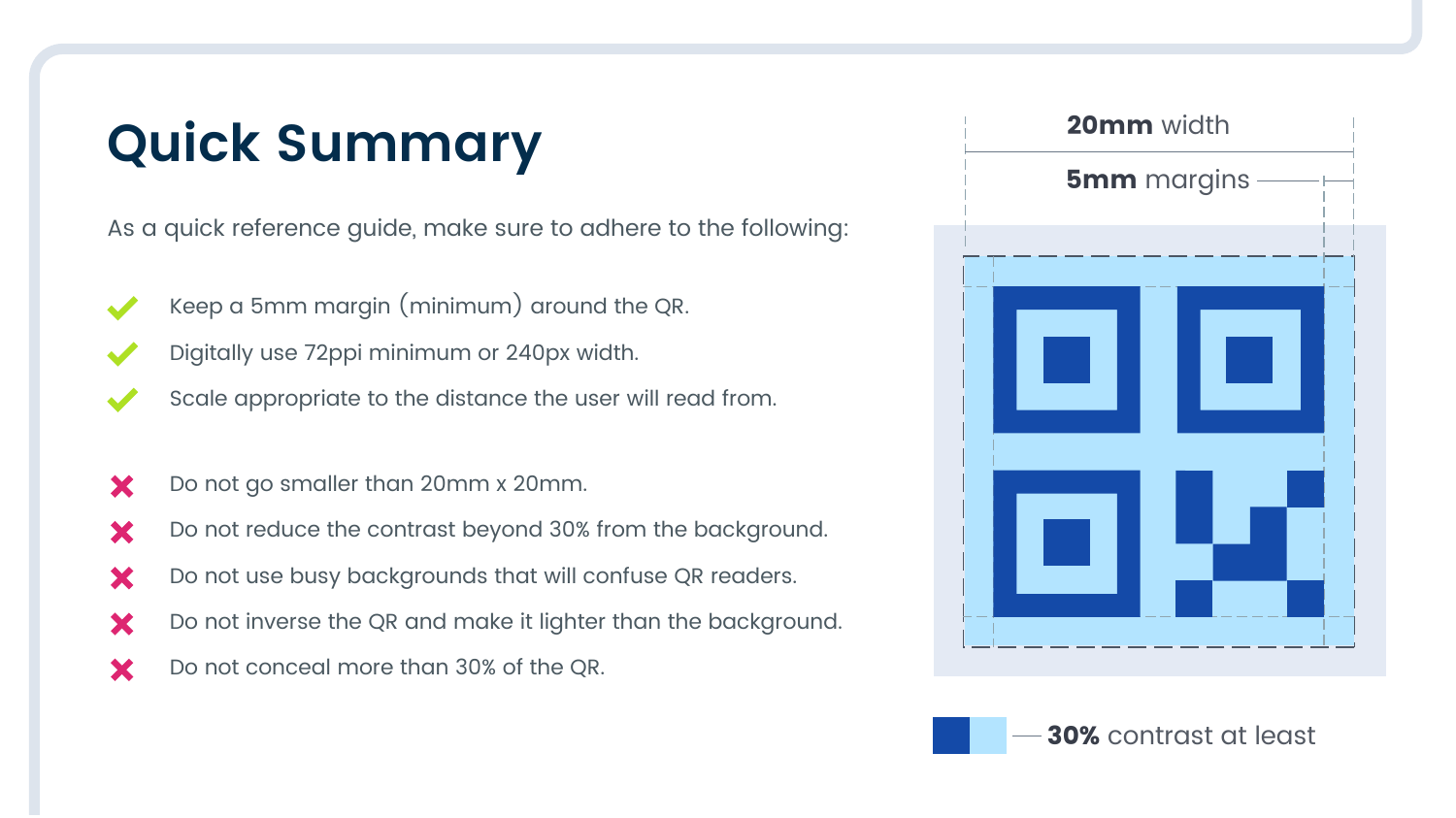#### **Quick Summary**

As a quick reference guide, make sure to adhere to the following:

- Keep a 5mm margin (minimum) around the QR.
- Digitally use 72ppi minimum or 240px width.
- Scale appropriate to the distance the user will read from.
- Do not go smaller than 20mm x 20mm. X
- Do not reduce the contrast beyond 30% from the background. X
- Do not use busy backgrounds that will confuse QR readers. X
- Do not inverse the QR and make it lighter than the background. X
- Do not conceal more than 30% of the QR. X

![](_page_6_Picture_10.jpeg)

![](_page_6_Picture_11.jpeg)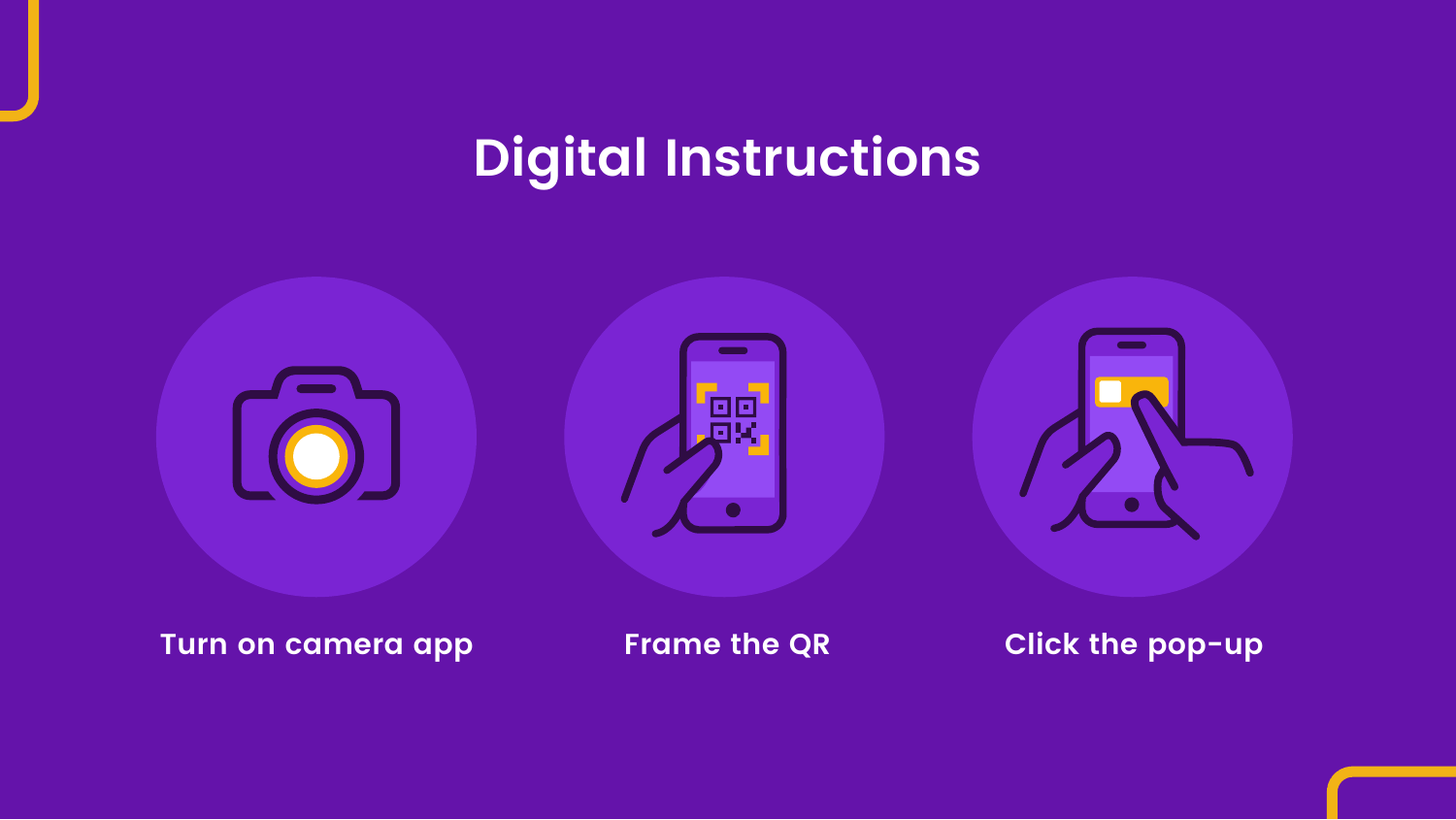#### **Digital Instructions**

![](_page_7_Picture_1.jpeg)